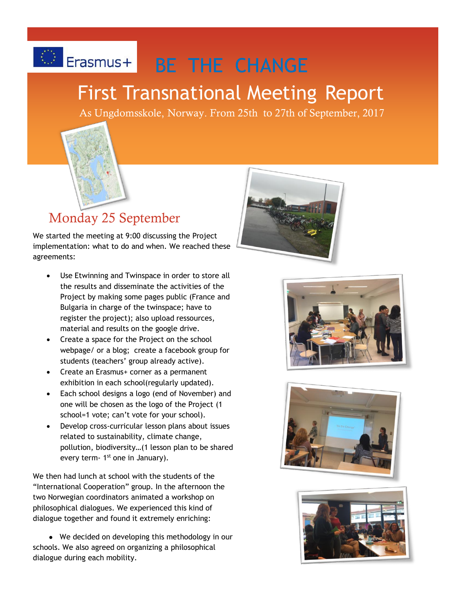# C Erasmus+ BE THE CHANGE

# First Transnational Meeting Report

As Ungdomsskole, Norway. From 25th to 27th of September, 2017



## Monday 25 September

We started the meeting at 9:00 discussing the Project implementation: what to do and when. We reached these agreements:

- Use Etwinning and Twinspace in order to store all the results and disseminate the activities of the Project by making some pages public (France and Bulgaria in charge of the twinspace; have to register the project); also upload ressources, material and results on the google drive.
- Create a space for the Project on the school webpage/ or a blog; create a facebook group for students (teachers' group already active).
- Create an Erasmus+ corner as a permanent exhibition in each school(regularly updated).
- Each school designs a logo (end of November) and one will be chosen as the logo of the Project (1 school=1 vote; can't vote for your school).
- Develop cross-curricular lesson plans about issues related to sustainability, climate change, pollution, biodiversity…(1 lesson plan to be shared every term- 1<sup>st</sup> one in January).

We then had lunch at school with the students of the "International Cooperation" group. In the afternoon the two Norwegian coordinators animated a workshop on philosophical dialogues. We experienced this kind of dialogue together and found it extremely enriching:

 ● We decided on developing this methodology in our schools. We also agreed on organizing a philosophical dialogue during each mobility.







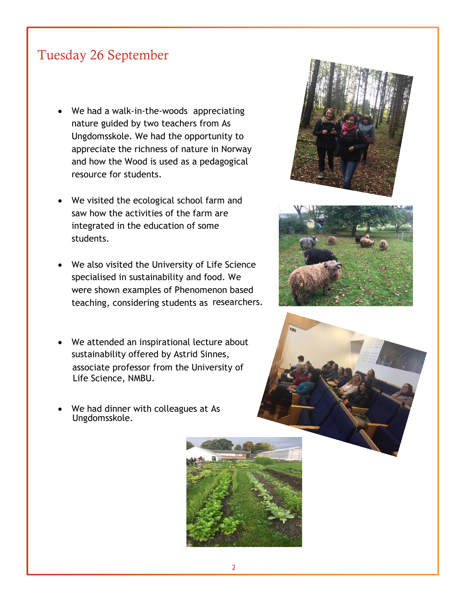### Tuesday 26 September

- We had a walk-in-the-woods appreciating nature guided by two teachers from As Ungdomsskole. We had the opportunity to appreciate the richness of nature in Norway and how the Wood is used as a pedagogical resource for students.
- We visited the ecological school farm and saw how the activities of the farm are integrated in the education of some students.
- We also visited the University of Life Science specialised in sustainability and food. We were shown examples of Phenomenon based teaching, considering students as researchers.
- We attended an inspirational lecture about sustainability offered by Astrid Sinnes, associate professor from the University of Life Science, NMBU.
- We had dinner with colleagues at As Ungdomsskole.